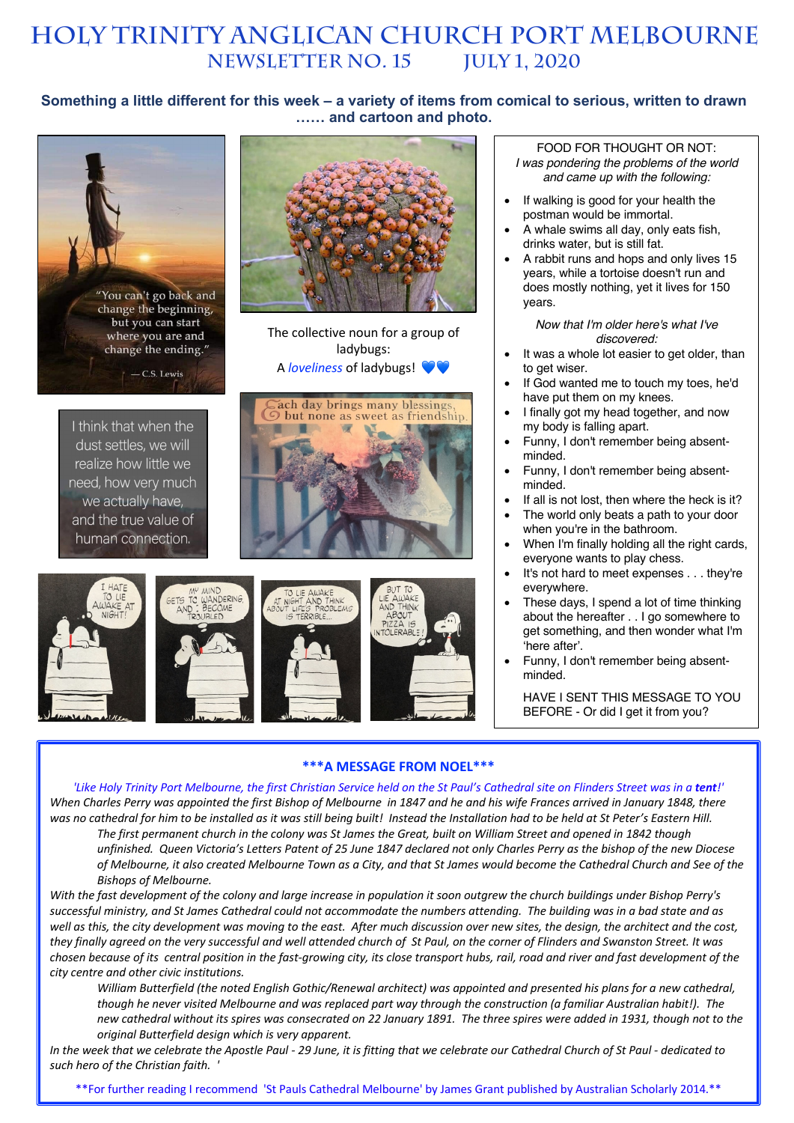# **HOLY TRINITY Anglican church PORT MELBOURNE NEWSLETTER No. 15 July 1, 2020**

## **Something a little different for this week – a variety of items from comical to serious, written to drawn …… and cartoon and photo.**

ladybugs:

but none as sweet as friendship

W



I think that when the dust settles, we will realize how little we need, how very much we actually have, and the true value of human connection.









#### FOOD FOR THOUGHT OR NOT: *I was pondering the problems of the world and came up with the following:*

- If walking is good for your health the postman would be immortal.
- A whale swims all day, only eats fish, drinks water, but is still fat.
- A rabbit runs and hops and only lives 15 years, while a tortoise doesn't run and does mostly nothing, yet it lives for 150 years.

*Now that I'm older here's what I've discovered:*

- It was a whole lot easier to get older, than to get wiser.
- If God wanted me to touch my toes, he'd have put them on my knees.
- I finally got my head together, and now my body is falling apart.
- Funny, I don't remember being absentminded.
- Funny, I don't remember being absentminded.
- If all is not lost, then where the heck is it?
- The world only beats a path to your door when you're in the bathroom.
- When I'm finally holding all the right cards, everyone wants to play chess.
- It's not hard to meet expenses . . . they're everywhere.
- These days, I spend a lot of time thinking about the hereafter . . I go somewhere to get something, and then wonder what I'm 'here after'.
- Funny, I don't remember being absentminded.

HAVE I SENT THIS MESSAGE TO YOU BEFORE - Or did I get it from you?

#### **\*\*\*A MESSAGE FROM NOEL\*\*\***

*'Like Holy Trinity Port Melbourne, the first Christian Service held on the St Paul's Cathedral site on Flinders Street was in a tent!' When Charles Perry was appointed the first Bishop of Melbourne in 1847 and he and his wife Frances arrived in January 1848, there was no cathedral for him to be installed as it was still being built! Instead the Installation had to be held at St Peter's Eastern Hill.*

*The first permanent church in the colony was St James the Great, built on William Street and opened in 1842 though unfinished. Queen Victoria's Letters Patent of 25 June 1847 declared not only Charles Perry as the bishop of the new Diocese of Melbourne, it also created Melbourne Town as a City, and that St James would become the Cathedral Church and See of the Bishops of Melbourne.*

*With the fast development of the colony and large increase in population it soon outgrew the church buildings under Bishop Perry's successful ministry, and St James Cathedral could not accommodate the numbers attending. The building was in a bad state and as well as this, the city development was moving to the east. After much discussion over new sites, the design, the architect and the cost, they finally agreed on the very successful and well attended church of St Paul, on the corner of Flinders and Swanston Street. It was chosen because of its central position in the fast-growing city, its close transport hubs, rail, road and river and fast development of the city centre and other civic institutions.*

*William Butterfield (the noted English Gothic/Renewal architect) was appointed and presented his plans for a new cathedral, though he never visited Melbourne and was replaced part way through the construction (a familiar Australian habit!). The new cathedral without its spires was consecrated on 22 January 1891. The three spires were added in 1931, though not to the original Butterfield design which is very apparent.*

*In the week that we celebrate the Apostle Paul - 29 June, it is fitting that we celebrate our Cathedral Church of St Paul - dedicated to such hero of the Christian faith. '*

\*\*For further reading I recommend 'St Pauls Cathedral Melbourne' by James Grant published by Australian Scholarly 2014.\*\*